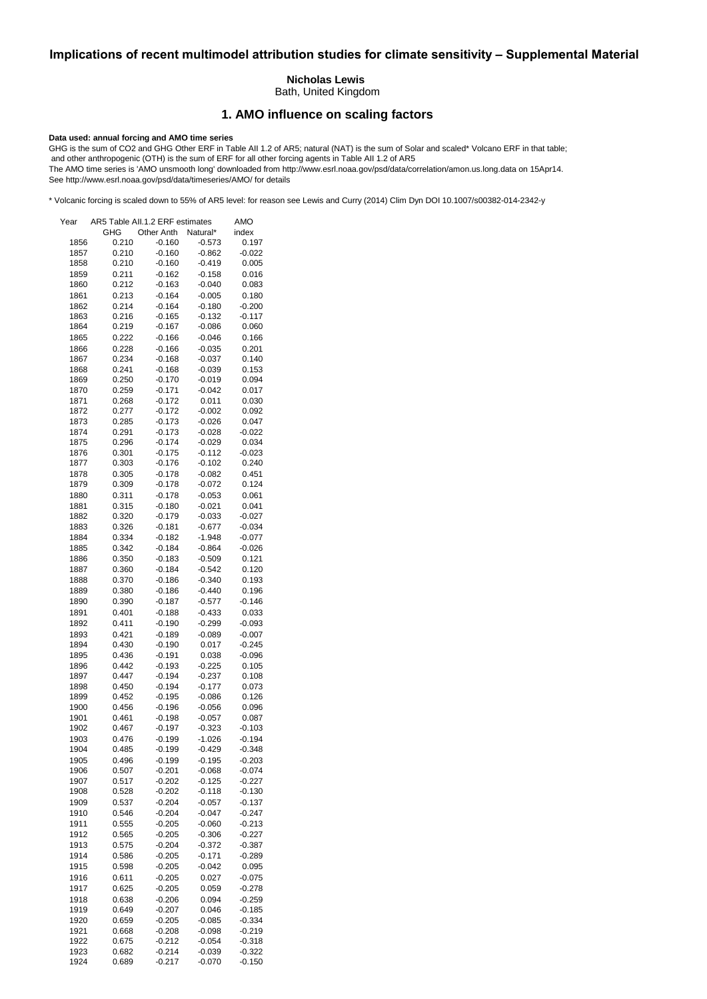# **Implications of recent multimodel attribution studies for climate sensitivity – Supplemental Material**

### **Nicholas Lewis**

Bath, United Kingdom

# **1. AMO influence on scaling factors**

#### **Data used: annual forcing and AMO time series**

GHG is the sum of CO2 and GHG Other ERF in Table AII 1.2 of AR5; natural (NAT) is the sum of Solar and scaled\* Volcano ERF in that table; and other anthropogenic (OTH) is the sum of ERF for all other forcing agents in Table AII 1.2 of AR5 The AMO time series is 'AMO unsmooth long' downloaded from http://www.esrl.noaa.gov/psd/data/correlation/amon.us.long.data on 15Apr14. See http://www.esrl.noaa.gov/psd/data/timeseries/AMO/ for details

\* Volcanic forcing is scaled down to 55% of AR5 level: for reason see Lewis and Curry (2014) Clim Dyn DOI 10.1007/s00382-014-2342-y

| Year         | AR5 Table All.1.2 ERF estimates |                      |                      | AMO      |
|--------------|---------------------------------|----------------------|----------------------|----------|
|              | <b>GHG</b>                      | Other Anth Natural*  |                      | index    |
| 1856         | 0.210                           | $-0.160$             | $-0.573$             | 0.197    |
| 1857         | 0.210                           | $-0.160$             | $-0.862$             | $-0.022$ |
| 1858         | 0.210                           | $-0.160$             | $-0.419$             | 0.005    |
| 1859         | 0.211                           | $-0.162$             | $-0.158$             | 0.016    |
| 1860         | 0.212                           | $-0.163$             | $-0.040$             | 0.083    |
| 1861         | 0.213                           | $-0.164$             | $-0.005$             | 0.180    |
| 1862         | 0.214                           | $-0.164$             | $-0.180$             | $-0.200$ |
| 1863         | 0.216                           | $-0.165$             | $-0.132$             | $-0.117$ |
| 1864         | 0.219                           | $-0.167$             | $-0.086$             | 0.060    |
| 1865         | 0.222                           | $-0.166$             | $-0.046$             | 0.166    |
| 1866         | 0.228                           | $-0.166$             | $-0.035$             | 0.201    |
| 1867         | 0.234                           | $-0.168$             | $-0.037$             | 0.140    |
| 1868         | 0.241                           | $-0.168$             | $-0.039$             | 0.153    |
| 1869         | 0.250                           | $-0.170$             | $-0.019$             | 0.094    |
| 1870         | 0.259                           | $-0.171$             | $-0.042$             | 0.017    |
| 1871         | 0.268                           | $-0.172$             | 0.011                | 0.030    |
| 1872         | 0.277                           | $-0.172$             | $-0.002$             | 0.092    |
| 1873         | 0.285                           | $-0.173$             | $-0.026$             | 0.047    |
|              |                                 |                      |                      | $-0.022$ |
| 1874<br>1875 | 0.291<br>0.296                  | $-0.173$             | $-0.028$<br>$-0.029$ | 0.034    |
| 1876         | 0.301                           | $-0.174$<br>$-0.175$ | $-0.112$             | $-0.023$ |
|              |                                 |                      |                      |          |
| 1877         | 0.303                           | $-0.176$             | $-0.102$             | 0.240    |
| 1878         | 0.305                           | $-0.178$             | $-0.082$             | 0.451    |
| 1879         | 0.309                           | $-0.178$             | $-0.072$             | 0.124    |
| 1880         | 0.311                           | $-0.178$             | $-0.053$             | 0.061    |
| 1881         | 0.315                           | $-0.180$             | $-0.021$             | 0.041    |
| 1882         | 0.320                           | $-0.179$             | $-0.033$             | $-0.027$ |
| 1883         | 0.326                           | $-0.181$             | $-0.677$             | $-0.034$ |
| 1884         | 0.334                           | $-0.182$             | $-1.948$             | $-0.077$ |
| 1885         | 0.342                           | $-0.184$             | $-0.864$             | $-0.026$ |
| 1886         | 0.350                           | $-0.183$             | $-0.509$             | 0.121    |
| 1887         | 0.360                           | $-0.184$             | $-0.542$             | 0.120    |
| 1888         | 0.370                           | $-0.186$             | $-0.340$             | 0.193    |
| 1889         | 0.380                           | $-0.186$             | $-0.440$             | 0.196    |
| 1890         | 0.390                           | $-0.187$             | $-0.577$             | $-0.146$ |
| 1891         | 0.401                           | $-0.188$             | $-0.433$             | 0.033    |
| 1892         | 0.411                           | $-0.190$             | $-0.299$             | $-0.093$ |
| 1893         | 0.421                           | $-0.189$             | $-0.089$             | $-0.007$ |
| 1894         | 0.430                           | $-0.190$             | 0.017                | $-0.245$ |
| 1895         | 0.436                           | $-0.191$             | 0.038                | $-0.096$ |
| 1896         | 0.442                           | $-0.193$             | $-0.225$             | 0.105    |
| 1897         | 0.447                           | $-0.194$             | $-0.237$             | 0.108    |
| 1898         | 0.450                           | $-0.194$             | $-0.177$             | 0.073    |
| 1899         | 0.452                           | $-0.195$             | $-0.086$             | 0.126    |
| 1900         | 0.456                           | $-0.196$             | $-0.056$             | 0.096    |
| 1901         | 0.461                           | $-0.198$             | $-0.057$             | 0.087    |
| 1902         | 0.467                           | $-0.197$             | $-0.323$             | $-0.103$ |
| 1903         | 0.476                           | $-0.199$             | $-1.026$             | $-0.194$ |
| 1904         | 0.485                           | $-0.199$             | $-0.429$             | $-0.348$ |
|              | 0.496                           |                      |                      |          |
| 1905         |                                 | $-0.199$             | $-0.195$             | $-0.203$ |
| 1906         | 0.507                           | $-0.201$             | $-0.068$             | $-0.074$ |
| 1907         | 0.517                           | $-0.202$             | $-0.125$             | $-0.227$ |
| 1908         | 0.528                           | $-0.202$             | $-0.118$             | $-0.130$ |
| 1909         | 0.537                           | $-0.204$             | $-0.057$             | $-0.137$ |
| 1910         | 0.546                           | $-0.204$             | $-0.047$             | $-0.247$ |
| 1911         | 0.555                           | $-0.205$             | $-0.060$             | $-0.213$ |
| 1912         | 0.565                           | $-0.205$             | $-0.306$             | $-0.227$ |
| 1913         | 0.575                           | $-0.204$             | $-0.372$             | $-0.387$ |
| 1914         | 0.586                           | $-0.205$             | $-0.171$             | $-0.289$ |
| 1915         | 0.598                           | $-0.205$             | $-0.042$             | 0.095    |
| 1916         | 0.611                           | $-0.205$             | 0.027                | $-0.075$ |
| 1917         | 0.625                           | $-0.205$             | 0.059                | $-0.278$ |
| 1918         | 0.638                           | $-0.206$             | 0.094                | $-0.259$ |
| 1919         | 0.649                           | $-0.207$             | 0.046                | $-0.185$ |
| 1920         | 0.659                           | $-0.205$             | $-0.085$             | $-0.334$ |
| 1921         | 0.668                           | $-0.208$             | $-0.098$             | $-0.219$ |
| 1922         | 0.675                           | $-0.212$             | $-0.054$             | $-0.318$ |
| 1923         | 0.682                           | $-0.214$             | $-0.039$             | $-0.322$ |
| 1924         | 0.689                           | $-0.217$             | $-0.070$             | $-0.150$ |
|              |                                 |                      |                      |          |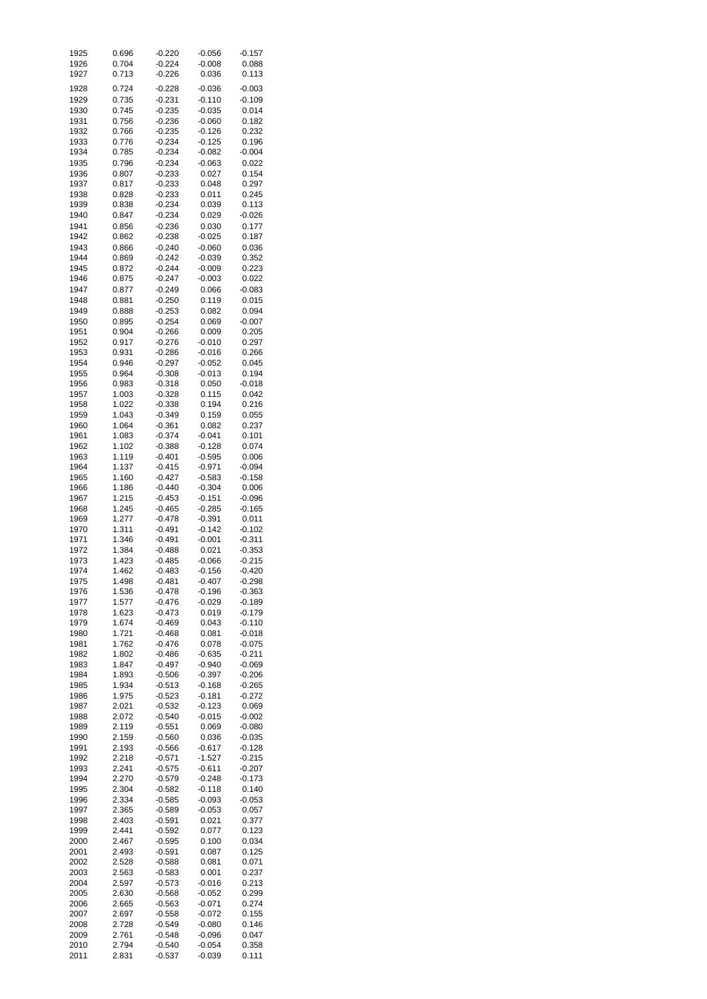| 1925 | 0.696 | $-0.220$ | $-0.056$ | $-0.157$ |
|------|-------|----------|----------|----------|
| 1926 | 0.704 | $-0.224$ | $-0.008$ | 0.088    |
| 1927 | 0.713 | $-0.226$ | 0.036    | 0.113    |
|      |       |          |          |          |
| 1928 | 0.724 | $-0.228$ | $-0.036$ | $-0.003$ |
| 1929 | 0.735 | $-0.231$ | $-0.110$ | $-0.109$ |
| 1930 | 0.745 | $-0.235$ | $-0.035$ | 0.014    |
| 1931 | 0.756 | $-0.236$ | $-0.060$ | 0.182    |
| 1932 | 0.766 | $-0.235$ | $-0.126$ | 0.232    |
| 1933 | 0.776 | $-0.234$ | $-0.125$ | 0.196    |
| 1934 | 0.785 | $-0.234$ | $-0.082$ | $-0.004$ |
| 1935 | 0.796 | $-0.234$ | $-0.063$ | 0.022    |
| 1936 | 0.807 | $-0.233$ | 0.027    | 0.154    |
| 1937 | 0.817 | $-0.233$ | 0.048    | 0.297    |
| 1938 | 0.828 | $-0.233$ | 0.011    | 0.245    |
| 1939 | 0.838 | $-0.234$ | 0.039    | 0.113    |
| 1940 | 0.847 | $-0.234$ | 0.029    | $-0.026$ |
| 1941 | 0.856 | $-0.236$ | 0.030    | 0.177    |
|      |       |          |          | 0.187    |
| 1942 | 0.862 | $-0.238$ | $-0.025$ |          |
| 1943 | 0.866 | $-0.240$ | $-0.060$ | 0.036    |
| 1944 | 0.869 | $-0.242$ | $-0.039$ | 0.352    |
| 1945 | 0.872 | $-0.244$ | $-0.009$ | 0.223    |
| 1946 | 0.875 | $-0.247$ | $-0.003$ | 0.022    |
| 1947 | 0.877 | $-0.249$ | 0.066    | $-0.083$ |
| 1948 | 0.881 | $-0.250$ | 0.119    | 0.015    |
| 1949 | 0.888 | $-0.253$ | 0.082    | 0.094    |
| 1950 | 0.895 | $-0.254$ | 0.069    | $-0.007$ |
| 1951 | 0.904 | $-0.266$ | 0.009    | 0.205    |
| 1952 | 0.917 | $-0.276$ | $-0.010$ | 0.297    |
| 1953 | 0.931 | $-0.286$ | $-0.016$ | 0.266    |
| 1954 | 0.946 | $-0.297$ | $-0.052$ | 0.045    |
| 1955 | 0.964 | $-0.308$ | $-0.013$ | 0.194    |
| 1956 | 0.983 | $-0.318$ | 0.050    | $-0.018$ |
| 1957 | 1.003 | $-0.328$ | 0.115    | 0.042    |
| 1958 | 1.022 | $-0.338$ | 0.194    | 0.216    |
| 1959 | 1.043 | $-0.349$ | 0.159    | 0.055    |
| 1960 | 1.064 | $-0.361$ | 0.082    | 0.237    |
| 1961 | 1.083 | $-0.374$ | $-0.041$ | 0.101    |
| 1962 | 1.102 | $-0.388$ | $-0.128$ | 0.074    |
| 1963 | 1.119 | $-0.401$ | $-0.595$ | 0.006    |
| 1964 | 1.137 | $-0.415$ | $-0.971$ | $-0.094$ |
| 1965 | 1.160 | $-0.427$ | $-0.583$ | $-0.158$ |
| 1966 | 1.186 | $-0.440$ | $-0.304$ | 0.006    |
| 1967 | 1.215 | $-0.453$ | $-0.151$ | $-0.096$ |
| 1968 | 1.245 | $-0.465$ | $-0.285$ | $-0.165$ |
| 1969 | 1.277 | $-0.478$ | $-0.391$ | 0.011    |
| 1970 | 1.311 | $-0.491$ | $-0.142$ | $-0.102$ |
| 1971 | 1.346 | $-0.491$ | $-0.001$ | $-0.311$ |
| 1972 | 1.384 | $-0.488$ | 0.021    | $-0.353$ |
| 1973 |       |          |          |          |
| 1974 | 1.423 | $-0.485$ | $-0.066$ | $-0.215$ |
|      | 1.462 | $-0.483$ | $-0.156$ | $-0.420$ |
| 1975 | 1.498 | $-0.481$ | $-0.407$ | $-0.298$ |
| 1976 | 1.536 | $-0.478$ | $-0.196$ | $-0.363$ |
| 1977 | 1.577 | $-0.476$ | $-0.029$ | $-0.189$ |
| 1978 | 1.623 | $-0.473$ | 0.019    | $-0.179$ |
| 1979 | 1.674 | $-0.469$ | 0.043    | $-0.110$ |
| 1980 | 1.721 | $-0.468$ | 0.081    | $-0.018$ |
| 1981 | 1.762 | $-0.476$ | 0.078    | $-0.075$ |
| 1982 | 1.802 | $-0.486$ | $-0.635$ | $-0.211$ |
| 1983 | 1.847 | $-0.497$ | $-0.940$ | $-0.069$ |
| 1984 | 1.893 | $-0.506$ | $-0.397$ | $-0.206$ |
| 1985 | 1.934 | $-0.513$ | $-0.168$ | $-0.265$ |
| 1986 | 1.975 | $-0.523$ | $-0.181$ | $-0.272$ |
| 1987 | 2.021 | $-0.532$ | $-0.123$ | 0.069    |
| 1988 | 2.072 | $-0.540$ | $-0.015$ | $-0.002$ |
| 1989 | 2.119 | $-0.551$ | 0.069    | $-0.080$ |
| 1990 | 2.159 | $-0.560$ | 0.036    | $-0.035$ |
| 1991 | 2.193 | $-0.566$ | $-0.617$ | $-0.128$ |
| 1992 | 2.218 | $-0.571$ | $-1.527$ | $-0.215$ |
| 1993 | 2.241 | $-0.575$ | $-0.611$ | $-0.207$ |
| 1994 | 2.270 | $-0.579$ | $-0.248$ | $-0.173$ |
| 1995 | 2.304 | $-0.582$ | $-0.118$ | 0.140    |
| 1996 | 2.334 | $-0.585$ | $-0.093$ | $-0.053$ |
| 1997 | 2.365 | $-0.589$ | $-0.053$ | 0.057    |
| 1998 | 2.403 | $-0.591$ | 0.021    | 0.377    |
| 1999 | 2.441 | $-0.592$ | 0.077    | 0.123    |
| 2000 | 2.467 | $-0.595$ | 0.100    | 0.034    |
| 2001 | 2.493 | $-0.591$ | 0.087    | 0.125    |
| 2002 | 2.528 | $-0.588$ | 0.081    | 0.071    |
| 2003 | 2.563 | $-0.583$ | 0.001    | 0.237    |
| 2004 | 2.597 | $-0.573$ | $-0.016$ | 0.213    |
| 2005 | 2.630 | $-0.568$ | $-0.052$ | 0.299    |
|      |       | $-0.563$ |          | 0.274    |
| 2006 | 2.665 |          | $-0.071$ |          |
| 2007 | 2.697 | $-0.558$ | $-0.072$ | 0.155    |
| 2008 | 2.728 | $-0.549$ | $-0.080$ | 0.146    |
| 2009 | 2.761 | $-0.548$ | $-0.096$ | 0.047    |
| 2010 | 2.794 | $-0.540$ | $-0.054$ | 0.358    |
| 2011 | 2.831 | $-0.537$ | $-0.039$ | 0.111    |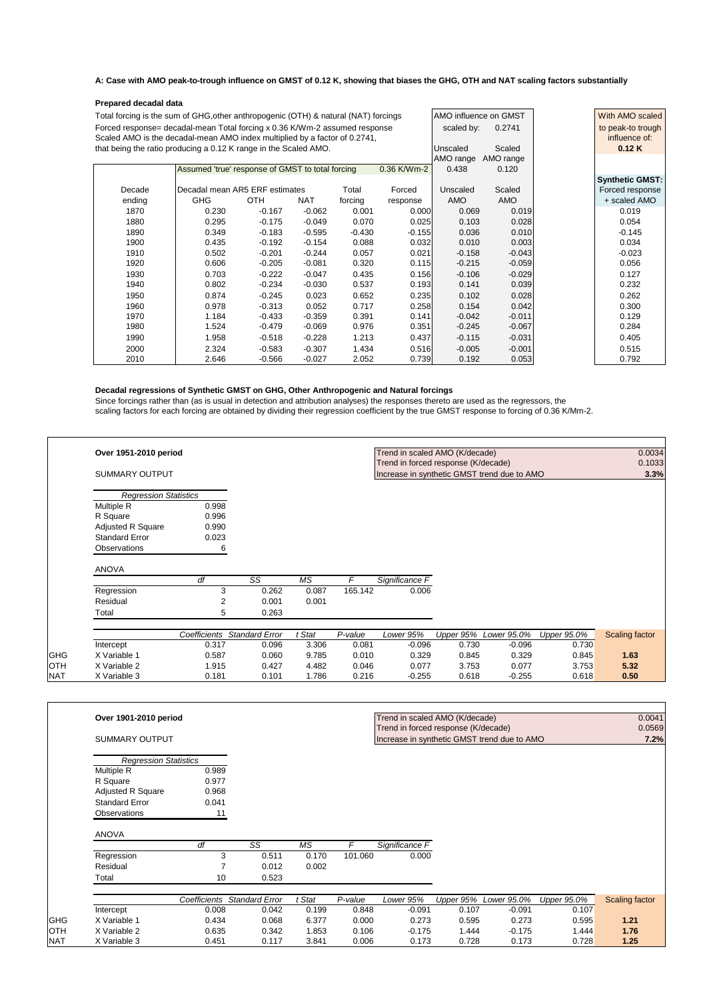#### **A: Case with AMO peak-to-trough influence on GMST of 0.12 K, showing that biases the GHG, OTH and NAT scaling factors substantially**

| Prepared decadal data                                                               |                                                  |            |            |           |             |                       |          |                        |  |
|-------------------------------------------------------------------------------------|--------------------------------------------------|------------|------------|-----------|-------------|-----------------------|----------|------------------------|--|
| Total forcing is the sum of GHG, other anthropogenic (OTH) & natural (NAT) forcings |                                                  |            |            |           |             | AMO influence on GMST |          | With AMO scaled        |  |
| Forced response= decadal-mean Total forcing x 0.36 K/Wm-2 assumed response          |                                                  |            |            |           |             | scaled by:            | 0.2741   | to peak-to trough      |  |
| Scaled AMO is the decadal-mean AMO index multiplied by a factor of 0.2741,          |                                                  |            |            |           |             | influence of:         |          |                        |  |
| that being the ratio producing a 0.12 K range in the Scaled AMO.                    |                                                  |            |            |           |             | Unscaled              | Scaled   | 0.12K                  |  |
|                                                                                     |                                                  |            |            | AMO range | AMO range   |                       |          |                        |  |
|                                                                                     | Assumed 'true' response of GMST to total forcing |            |            |           | 0.36 K/Wm-2 | 0.438                 | 0.120    |                        |  |
|                                                                                     |                                                  |            |            |           |             |                       |          | <b>Synthetic GMST:</b> |  |
| Decade                                                                              | Decadal mean AR5 ERF estimates                   |            |            | Total     | Forced      | Unscaled              | Scaled   | Forced response        |  |
| ending                                                                              | <b>GHG</b>                                       | <b>OTH</b> | <b>NAT</b> | forcing   | response    | AMO                   | AMO      | + scaled AMO           |  |
| 1870                                                                                | 0.230                                            | $-0.167$   | $-0.062$   | 0.001     | 0.000       | 0.069                 | 0.019    | 0.019                  |  |
| 1880                                                                                | 0.295                                            | $-0.175$   | $-0.049$   | 0.070     | 0.025       | 0.103                 | 0.028    | 0.054                  |  |
| 1890                                                                                | 0.349                                            | $-0.183$   | $-0.595$   | $-0.430$  | $-0.155$    | 0.036                 | 0.010    | $-0.145$               |  |
| 1900                                                                                | 0.435                                            | $-0.192$   | $-0.154$   | 0.088     | 0.032       | 0.010                 | 0.003    | 0.034                  |  |
| 1910                                                                                | 0.502                                            | $-0.201$   | $-0.244$   | 0.057     | 0.021       | $-0.158$              | $-0.043$ | $-0.023$               |  |
| 1920                                                                                | 0.606                                            | $-0.205$   | $-0.081$   | 0.320     | 0.115       | $-0.215$              | $-0.059$ | 0.056                  |  |
| 1930                                                                                | 0.703                                            | $-0.222$   | $-0.047$   | 0.435     | 0.156       | $-0.106$              | $-0.029$ | 0.127                  |  |
| 1940                                                                                | 0.802                                            | $-0.234$   | $-0.030$   | 0.537     | 0.193       | 0.141                 | 0.039    | 0.232                  |  |
| 1950                                                                                | 0.874                                            | $-0.245$   | 0.023      | 0.652     | 0.235       | 0.102                 | 0.028    | 0.262                  |  |
| 1960                                                                                | 0.978                                            | $-0.313$   | 0.052      | 0.717     | 0.258       | 0.154                 | 0.042    | 0.300                  |  |
| 1970                                                                                | 1.184                                            | $-0.433$   | $-0.359$   | 0.391     | 0.141       | $-0.042$              | $-0.011$ | 0.129                  |  |
| 1980                                                                                | 1.524                                            | $-0.479$   | $-0.069$   | 0.976     | 0.351       | $-0.245$              | $-0.067$ | 0.284                  |  |
| 1990                                                                                | 1.958                                            | $-0.518$   | $-0.228$   | 1.213     | 0.437       | $-0.115$              | $-0.031$ | 0.405                  |  |
| 2000                                                                                | 2.324                                            | $-0.583$   | $-0.307$   | 1.434     | 0.516       | $-0.005$              | $-0.001$ | 0.515                  |  |
| 2010                                                                                | 2.646                                            | $-0.566$   | $-0.027$   | 2.052     | 0.739       | 0.192                 | 0.053    | 0.792                  |  |

Since forcings rather than (as is usual in detection and attribution analyses) the responses thereto are used as the regressors, the scaling factors for each forcing are obtained by dividing their regression coefficient by the true GMST response to forcing of 0.36 K/Mm-2.

#### **Decadal regressions of Synthetic GMST on GHG, Other Anthropogenic and Natural forcings**

| Over 1951-2010 period |                              |                             |        |                       | Trend in scaled AMO (K/decade)              |       |                       |             | 0.0034                |
|-----------------------|------------------------------|-----------------------------|--------|-----------------------|---------------------------------------------|-------|-----------------------|-------------|-----------------------|
|                       |                              |                             |        |                       | Trend in forced response (K/decade)         |       |                       |             | 0.1033                |
| <b>SUMMARY OUTPUT</b> |                              |                             |        |                       | Increase in synthetic GMST trend due to AMO |       |                       |             | 3.3%                  |
|                       | <b>Regression Statistics</b> |                             |        |                       |                                             |       |                       |             |                       |
| Multiple R            | 0.998                        |                             |        |                       |                                             |       |                       |             |                       |
| R Square              | 0.996                        |                             |        |                       |                                             |       |                       |             |                       |
| Adjusted R Square     | 0.990                        |                             |        |                       |                                             |       |                       |             |                       |
| <b>Standard Error</b> | 0.023                        |                             |        |                       |                                             |       |                       |             |                       |
| Observations          | 6                            |                             |        |                       |                                             |       |                       |             |                       |
| ANOVA                 |                              |                             |        |                       |                                             |       |                       |             |                       |
|                       | df                           | $\overline{\text{SS}}$      | ΜS     | F                     | Significance F                              |       |                       |             |                       |
| Regression            | 3                            | 0.262                       | 0.087  | 165.142               | 0.006                                       |       |                       |             |                       |
| Residual              | $\overline{2}$               | 0.001                       | 0.001  |                       |                                             |       |                       |             |                       |
| Total                 | 5                            | 0.263                       |        |                       |                                             |       |                       |             |                       |
|                       |                              | Coefficients Standard Error | t Stat | $\overline{P}$ -value | Lower 95%                                   |       | Upper 95% Lower 95.0% | Upper 95.0% | <b>Scaling factor</b> |
| Intercept             | 0.317                        | 0.096                       | 3.306  | 0.081                 | $-0.096$                                    | 0.730 | $-0.096$              | 0.730       |                       |
| X Variable 1          | 0.587                        | 0.060                       | 9.785  | 0.010                 | 0.329                                       | 0.845 | 0.329                 | 0.845       | 1.63                  |
| X Variable 2          | 1.915                        | 0.427                       | 4.482  | 0.046                 | 0.077                                       | 3.753 | 0.077                 | 3.753       | 5.32                  |
| X Variable 3          | 0.181                        | 0.101                       | 1.786  | 0.216                 | $-0.255$                                    | 0.618 | $-0.255$              | 0.618       | 0.50                  |

| Over 1901-2010 period | Trend in scaled AMO (K/decade)              | 0.0041 |
|-----------------------|---------------------------------------------|--------|
|                       | Trend in forced response (K/decade)         | 0.0569 |
| SUMMARY OUTPUT        | Increase in synthetic GMST trend due to AMO | 7.2%   |

| <b>Regression Statistics</b> |       |
|------------------------------|-------|
| Multiple R                   | 0.989 |
| R Square                     | 0.977 |
| <b>Adjusted R Square</b>     | 0.968 |
| <b>Standard Error</b>        | 0.041 |
| Observations                 | 11    |

#### ANOVA

|            | dt | SS    | ΜS    |         | Significance F |
|------------|----|-------|-------|---------|----------------|
| Regression |    | 0.511 | 0.170 | 101.060 | 0.000          |
| Residual   |    | 0.012 | 0.002 |         |                |
| Total      | 10 | 0.523 |       |         |                |

|            |              | Coefficients | Standard Error | Stat <sup>.</sup> | P-value | Lower 95% |       | Upper 95% Lower 95.0% | Upper 95.0% | Scaling factor |
|------------|--------------|--------------|----------------|-------------------|---------|-----------|-------|-----------------------|-------------|----------------|
|            | Intercept    | 0.008        | 0.042          | 0.199             | 0.848   | $-0.091$  | 0.107 | $-0.091$              | 0.107       |                |
| <b>GHG</b> | X Variable 1 | 0.434        | 0.068          | 6.377             | 0.000   | 0.273     | 0.595 | 0.273                 | 0.595       | 1.21           |
| <b>OTH</b> | X Variable 2 | 0.635        | 0.342          | .853              | 0.106   | $-0.175$  | .444  | $-0.175$              | .444        | 1.76           |
| <b>NAT</b> | X Variable 3 | 3.451        | 0.117          | 3.841             | 0.006   | 0.173     | 0.728 | 0.173                 | 0.728       | 1.25           |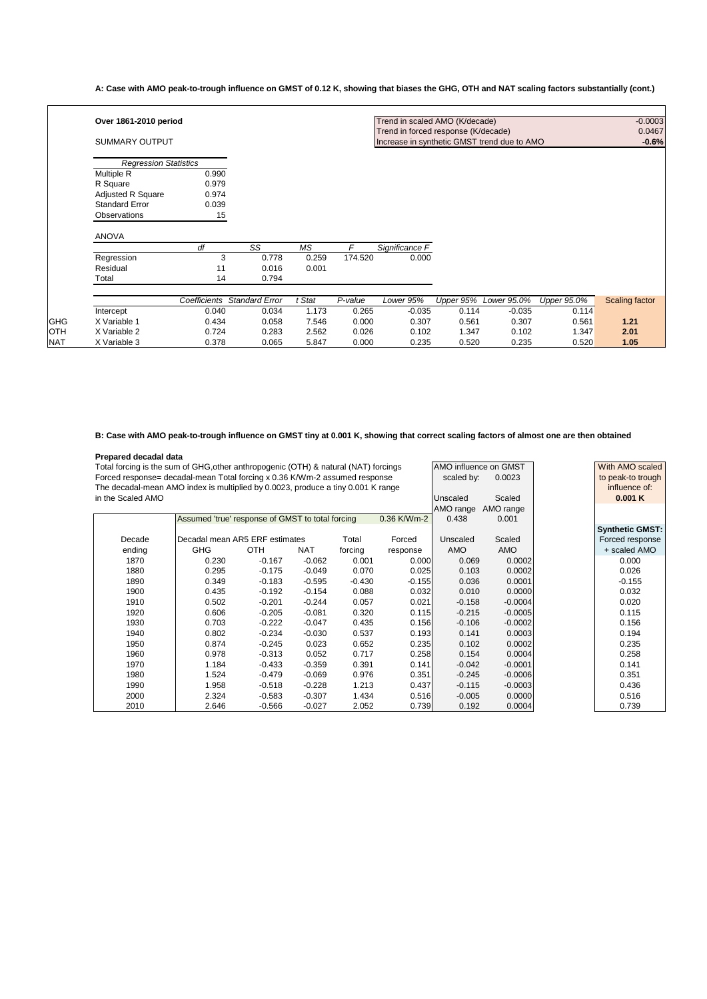**A: Case with AMO peak-to-trough influence on GMST of 0.12 K, showing that biases the GHG, OTH and NAT scaling factors substantially (cont.)**

|            | Over 1861-2010 period        |              |                          |                          |         | Trend in scaled AMO (K/decade)              |           |             |             | $-0.0003$             |
|------------|------------------------------|--------------|--------------------------|--------------------------|---------|---------------------------------------------|-----------|-------------|-------------|-----------------------|
|            |                              |              |                          |                          |         | Trend in forced response (K/decade)         |           |             |             | 0.0467                |
|            | <b>SUMMARY OUTPUT</b>        |              |                          |                          |         | Increase in synthetic GMST trend due to AMO |           |             |             | $-0.6%$               |
|            |                              |              |                          |                          |         |                                             |           |             |             |                       |
|            | <b>Regression Statistics</b> |              |                          |                          |         |                                             |           |             |             |                       |
|            | <b>Multiple R</b>            | 0.990        |                          |                          |         |                                             |           |             |             |                       |
|            | R Square                     | 0.979        |                          |                          |         |                                             |           |             |             |                       |
|            | Adjusted R Square            | 0.974        |                          |                          |         |                                             |           |             |             |                       |
|            | <b>Standard Error</b>        | 0.039        |                          |                          |         |                                             |           |             |             |                       |
|            | Observations                 | 15           |                          |                          |         |                                             |           |             |             |                       |
|            |                              |              |                          |                          |         |                                             |           |             |             |                       |
|            | <b>ANOVA</b>                 |              |                          |                          |         |                                             |           |             |             |                       |
|            |                              | df           | $\overline{\mathsf{SS}}$ | $\overline{\mathsf{MS}}$ | F       | Significance F                              |           |             |             |                       |
|            | Regression                   | 3            | 0.778                    | 0.259                    | 174.520 | 0.000                                       |           |             |             |                       |
|            | Residual                     | 11           | 0.016                    | 0.001                    |         |                                             |           |             |             |                       |
|            | Total                        | 14           | 0.794                    |                          |         |                                             |           |             |             |                       |
|            |                              |              |                          |                          |         |                                             |           |             |             |                       |
|            |                              | Coefficients | <b>Standard Error</b>    | t Stat                   | P-value | Lower 95%                                   | Upper 95% | Lower 95.0% | Upper 95.0% | <b>Scaling factor</b> |
|            | Intercept                    | 0.040        | 0.034                    | 1.173                    | 0.265   | $-0.035$                                    | 0.114     | $-0.035$    | 0.114       |                       |
| <b>GHG</b> | X Variable 1                 | 0.434        | 0.058                    | 7.546                    | 0.000   | 0.307                                       | 0.561     | 0.307       | 0.561       | 1.21                  |
| OTH        | X Variable 2                 | 0.724        | 0.283                    | 2.562                    | 0.026   | 0.102                                       | 1.347     | 0.102       | 1.347       | 2.01                  |
| NAT        | X Variable 3                 | 0.378        | 0.065                    | 5.847                    | 0.000   | 0.235                                       | 0.520     | 0.235       | 0.520       | 1.05                  |

#### **B: Case with AMO peak-to-trough influence on GMST tiny at 0.001 K, showing that correct scaling factors of almost one are then obtained**

| Prepared decadal data |                                                                                     |            |                 |          |                   |                       |            |                        |
|-----------------------|-------------------------------------------------------------------------------------|------------|-----------------|----------|-------------------|-----------------------|------------|------------------------|
|                       | Total forcing is the sum of GHG, other anthropogenic (OTH) & natural (NAT) forcings |            |                 |          |                   | AMO influence on GMST |            | With AMO scaled        |
|                       | Forced response= decadal-mean Total forcing x 0.36 K/Wm-2 assumed response          |            | scaled by:      | 0.0023   | to peak-to trough |                       |            |                        |
|                       | The decadal-mean AMO index is multiplied by 0.0023, produce a tiny 0.001 K range    |            |                 |          | influence of:     |                       |            |                        |
| in the Scaled AMO     |                                                                                     |            | <b>Unscaled</b> | Scaled   | 0.001K            |                       |            |                        |
|                       |                                                                                     |            |                 |          |                   | AMO range             | AMO range  |                        |
|                       | Assumed 'true' response of GMST to total forcing                                    |            |                 |          | 0.36 K/Wm-2       | 0.438                 | 0.001      |                        |
|                       |                                                                                     |            |                 |          |                   |                       |            | <b>Synthetic GMST:</b> |
| Decade                | Decadal mean AR5 ERF estimates                                                      |            |                 | Total    | Forced            | Unscaled              | Scaled     | Forced response        |
| ending                | <b>GHG</b>                                                                          | <b>OTH</b> | <b>NAT</b>      | forcing  | response          | <b>AMO</b>            | <b>AMO</b> | + scaled AMO           |
| 1870                  | 0.230                                                                               | $-0.167$   | $-0.062$        | 0.001    | 0.000             | 0.069                 | 0.0002     | 0.000                  |
| 1880                  | 0.295                                                                               | $-0.175$   | $-0.049$        | 0.070    | 0.025             | 0.103                 | 0.0002     | 0.026                  |
| 1890                  | 0.349                                                                               | $-0.183$   | $-0.595$        | $-0.430$ | $-0.155$          | 0.036                 | 0.0001     | $-0.155$               |
| 1900                  | 0.435                                                                               | $-0.192$   | $-0.154$        | 0.088    | 0.032             | 0.010                 | 0.0000     | 0.032                  |
| 1910                  | 0.502                                                                               | $-0.201$   | $-0.244$        | 0.057    | 0.021             | $-0.158$              | $-0.0004$  | 0.020                  |
| 1920                  | 0.606                                                                               | $-0.205$   | $-0.081$        | 0.320    | 0.115             | $-0.215$              | $-0.0005$  | 0.115                  |
| 1930                  | 0.703                                                                               | $-0.222$   | $-0.047$        | 0.435    | 0.156             | $-0.106$              | $-0.0002$  | 0.156                  |
| 1940                  | 0.802                                                                               | $-0.234$   | $-0.030$        | 0.537    | 0.193             | 0.141                 | 0.0003     | 0.194                  |
| 1950                  | 0.874                                                                               | $-0.245$   | 0.023           | 0.652    | 0.235             | 0.102                 | 0.0002     | 0.235                  |
| 1960                  | 0.978                                                                               | $-0.313$   | 0.052           | 0.717    | 0.258             | 0.154                 | 0.0004     | 0.258                  |
| 1970                  | 1.184                                                                               | $-0.433$   | $-0.359$        | 0.391    | 0.141             | $-0.042$              | $-0.0001$  | 0.141                  |
| 1980                  | 1.524                                                                               | $-0.479$   | $-0.069$        | 0.976    | 0.351             | $-0.245$              | $-0.0006$  | 0.351                  |
| 1990                  | 1.958                                                                               | $-0.518$   | $-0.228$        | 1.213    | 0.437             | $-0.115$              | $-0.0003$  | 0.436                  |
| 2000                  | 2.324                                                                               | $-0.583$   | $-0.307$        | 1.434    | 0.516             | $-0.005$              | 0.0000     | 0.516                  |
| 2010                  | 2.646                                                                               | $-0.566$   | $-0.027$        | 2.052    | 0.739             | 0.192                 | 0.0004     | 0.739                  |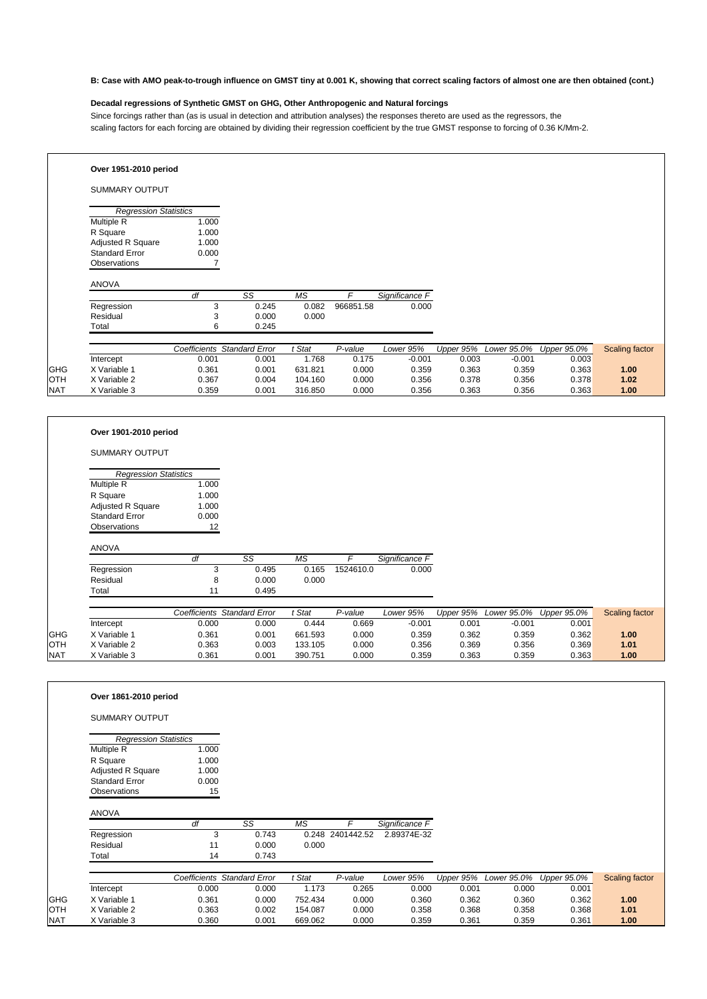#### **B: Case with AMO peak-to-trough influence on GMST tiny at 0.001 K, showing that correct scaling factors of almost one are then obtained (cont.)**

#### **Decadal regressions of Synthetic GMST on GHG, Other Anthropogenic and Natural forcings**

Since forcings rather than (as is usual in detection and attribution analyses) the responses thereto are used as the regressors, the scaling factors for each forcing are obtained by dividing their regression coefficient by the true GMST response to forcing of 0.36 K/Mm-2.

|            | Over 1951-2010 period        |       |                             |           |           |                |           |             |             |                       |
|------------|------------------------------|-------|-----------------------------|-----------|-----------|----------------|-----------|-------------|-------------|-----------------------|
|            | <b>SUMMARY OUTPUT</b>        |       |                             |           |           |                |           |             |             |                       |
|            | <b>Regression Statistics</b> |       |                             |           |           |                |           |             |             |                       |
|            | <b>Multiple R</b>            | 1.000 |                             |           |           |                |           |             |             |                       |
|            | R Square                     | 1.000 |                             |           |           |                |           |             |             |                       |
|            | Adjusted R Square            | 1.000 |                             |           |           |                |           |             |             |                       |
|            | <b>Standard Error</b>        | 0.000 |                             |           |           |                |           |             |             |                       |
|            | Observations                 |       |                             |           |           |                |           |             |             |                       |
|            | <b>ANOVA</b>                 | df    | SS                          | <b>MS</b> | F         | Significance F |           |             |             |                       |
|            | Regression                   | 3     | 0.245                       | 0.082     | 966851.58 | 0.000          |           |             |             |                       |
|            | Residual                     | 3     | 0.000                       | 0.000     |           |                |           |             |             |                       |
|            | Total                        | 6     | 0.245                       |           |           |                |           |             |             |                       |
|            |                              |       |                             |           |           |                |           |             |             |                       |
|            |                              |       | Coefficients Standard Error | t Stat    | P-value   | Lower 95%      | Upper 95% | Lower 95.0% | Upper 95.0% | <b>Scaling factor</b> |
|            | Intercept                    | 0.001 | 0.001                       | 1.768     | 0.175     | $-0.001$       | 0.003     | $-0.001$    | 0.003       |                       |
| <b>GHG</b> | X Variable 1                 | 0.361 | 0.001                       | 631.821   | 0.000     | 0.359          | 0.363     | 0.359       | 0.363       | 1.00                  |
| <b>OTH</b> | X Variable 2                 | 0.367 | 0.004                       | 104.160   | 0.000     | 0.356          | 0.378     | 0.356       | 0.378       | 1.02                  |
| <b>NAT</b> | X Variable 3                 | 0.359 | 0.001                       | 316.850   | 0.000     | 0.356          | 0.363     | 0.356       | 0.363       | 1.00                  |

|            | Over 1901-2010 period        |       |                                    |           |                       |                |           |             |             |                       |
|------------|------------------------------|-------|------------------------------------|-----------|-----------------------|----------------|-----------|-------------|-------------|-----------------------|
|            | <b>SUMMARY OUTPUT</b>        |       |                                    |           |                       |                |           |             |             |                       |
|            | <b>Regression Statistics</b> |       |                                    |           |                       |                |           |             |             |                       |
|            | Multiple R                   | 1.000 |                                    |           |                       |                |           |             |             |                       |
|            | R Square                     | 1.000 |                                    |           |                       |                |           |             |             |                       |
|            | Adjusted R Square            | 1.000 |                                    |           |                       |                |           |             |             |                       |
|            | <b>Standard Error</b>        | 0.000 |                                    |           |                       |                |           |             |             |                       |
|            | Observations                 | 12    |                                    |           |                       |                |           |             |             |                       |
|            | <b>ANOVA</b>                 |       |                                    |           |                       |                |           |             |             |                       |
|            |                              | df    | SS                                 | <b>MS</b> | F                     | Significance F |           |             |             |                       |
|            | Regression                   | 3     | 0.495                              | 0.165     | 1524610.0             | 0.000          |           |             |             |                       |
|            | Residual                     | 8     | 0.000                              | 0.000     |                       |                |           |             |             |                       |
|            | Total                        | 11    | 0.495                              |           |                       |                |           |             |             |                       |
|            |                              |       | <b>Coefficients Standard Error</b> | t Stat    | $\overline{P}$ -value | Lower 95%      | Upper 95% | Lower 95.0% | Upper 95.0% | <b>Scaling factor</b> |
|            | Intercept                    | 0.000 | 0.000                              | 0.444     | 0.669                 | $-0.001$       | 0.001     | $-0.001$    | 0.001       |                       |
| <b>GHG</b> | X Variable 1                 | 0.361 | 0.001                              | 661.593   | 0.000                 | 0.359          | 0.362     | 0.359       | 0.362       | 1.00                  |
| <b>OTH</b> | X Variable 2                 | 0.363 | 0.003                              | 133.105   | 0.000                 | 0.356          | 0.369     | 0.356       | 0.369       | 1.01                  |
| <b>NAT</b> | X Variable 3                 | 0.361 | 0.001                              | 390.751   | 0.000                 | 0.359          | 0.363     | 0.359       | 0.363       | 1.00                  |

**Over 1861-2010 period**

SUMMARY OUTPUT

*Regression Statistics*

| Multiple R            | 1.000 |
|-----------------------|-------|
| R Square              | 1.000 |
| Adjusted R Square     | 1.000 |
| <b>Standard Error</b> | 0.000 |
| Observations          | 15    |

#### ANOVA

|            | df | SS    | ΜS    |                  | Significance F |
|------------|----|-------|-------|------------------|----------------|
| Regression |    | 0.743 |       | 0.248 2401442.52 | 2.89374E-32    |
| Residual   | 11 | 0.000 | 0.000 |                  |                |
| ⊤otal      | 14 | 0.743 |       |                  |                |

|              |              | Coefficients | Standard Error | <b>Stat</b> | P-value | Lower 95% | Upper 95% | Lower 95.0% Upper 95.0% |       | Scaling factor |
|--------------|--------------|--------------|----------------|-------------|---------|-----------|-----------|-------------------------|-------|----------------|
|              | Intercept    | 0.000        | 0.000          | .173        | 0.265   | 0.000     | 0.001     | 0.000                   | 0.001 |                |
| <b>I</b> GHG | Variable 1   | 0.361        | 0.000          | 752.434     | 0.000   | 0.360     | 0.362     | 0.360                   | 0.362 | 1.00           |
| <b>OTH</b>   | X Variable 2 | 0.363        | 0.002          | 154.087     | 0.000   | 0.358     | 0.368     | 0.358                   | 0.368 | 1.01           |
| <b>NAT</b>   | X Variable 3 | 0.360        | 0.001          | 669.062     | 0.000   | 0.359     | 0.361     | 0.359                   | 0.361 | 1.00           |